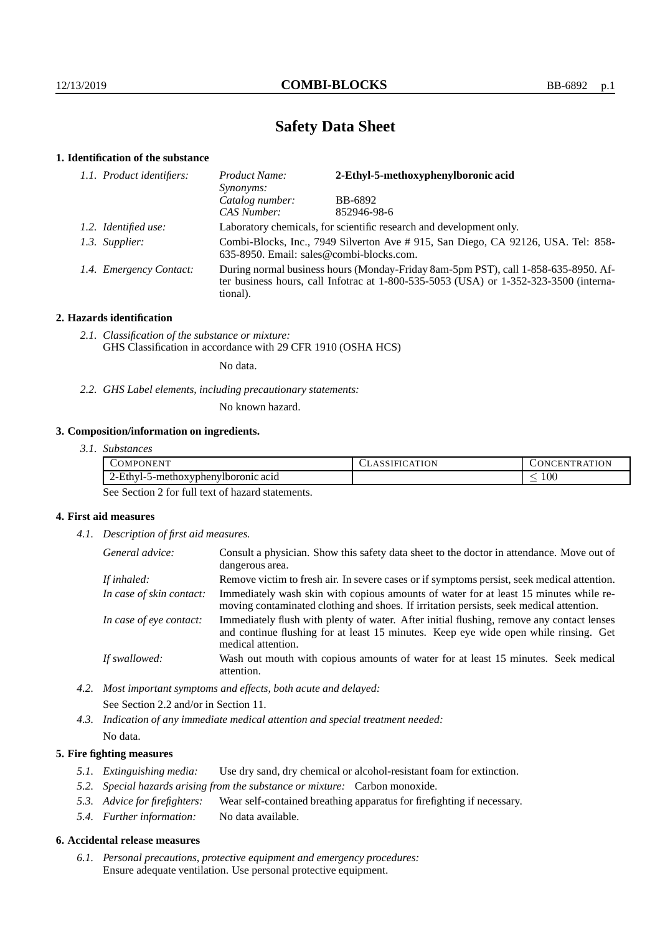# **Safety Data Sheet**

# **1. Identification of the substance**

| 1.1. Product identifiers: | 2-Ethyl-5-methoxyphenylboronic acid<br>Product Name:<br>Synonyms:                                                             |                                                                                                                                                                             |
|---------------------------|-------------------------------------------------------------------------------------------------------------------------------|-----------------------------------------------------------------------------------------------------------------------------------------------------------------------------|
|                           | Catalog number:                                                                                                               | BB-6892                                                                                                                                                                     |
|                           | CAS Number:                                                                                                                   | 852946-98-6                                                                                                                                                                 |
| 1.2. Identified use:      | Laboratory chemicals, for scientific research and development only.                                                           |                                                                                                                                                                             |
| 1.3. Supplier:            | Combi-Blocks, Inc., 7949 Silverton Ave # 915, San Diego, CA 92126, USA. Tel: 858-<br>635-8950. Email: sales@combi-blocks.com. |                                                                                                                                                                             |
| 1.4. Emergency Contact:   | tional).                                                                                                                      | During normal business hours (Monday-Friday 8am-5pm PST), call 1-858-635-8950. Af-<br>ter business hours, call Infotrac at 1-800-535-5053 (USA) or 1-352-323-3500 (interna- |

## **2. Hazards identification**

*2.1. Classification of the substance or mixture:* GHS Classification in accordance with 29 CFR 1910 (OSHA HCS)

No data.

*2.2. GHS Label elements, including precautionary statements:*

No known hazard.

# **3. Composition/information on ingredients.**

| ONEN <sup>T</sup><br>$\Delta MPC$        | ATION<br>∴A`ı<br>LRSSIF | <b>ATION</b><br>N<br>. R A'<br>. CEN * |
|------------------------------------------|-------------------------|----------------------------------------|
| ∠-Ethvl-*<br>5-methoxyphenylboronic acid |                         | $100\,$                                |

See Section 2 for full text of hazard statements.

# **4. First aid measures**

*4.1. Description of first aid measures.*

| General advice:          | Consult a physician. Show this safety data sheet to the doctor in attendance. Move out of<br>dangerous area.                                                                                            |
|--------------------------|---------------------------------------------------------------------------------------------------------------------------------------------------------------------------------------------------------|
| If inhaled:              | Remove victim to fresh air. In severe cases or if symptoms persist, seek medical attention.                                                                                                             |
| In case of skin contact: | Immediately wash skin with copious amounts of water for at least 15 minutes while re-<br>moving contaminated clothing and shoes. If irritation persists, seek medical attention.                        |
| In case of eye contact:  | Immediately flush with plenty of water. After initial flushing, remove any contact lenses<br>and continue flushing for at least 15 minutes. Keep eye wide open while rinsing. Get<br>medical attention. |
| If swallowed:            | Wash out mouth with copious amounts of water for at least 15 minutes. Seek medical<br>attention.                                                                                                        |

*4.2. Most important symptoms and effects, both acute and delayed:* See Section 2.2 and/or in Section 11.

*4.3. Indication of any immediate medical attention and special treatment needed:* No data.

### **5. Fire fighting measures**

- *5.1. Extinguishing media:* Use dry sand, dry chemical or alcohol-resistant foam for extinction.
- *5.2. Special hazards arising from the substance or mixture:* Carbon monoxide.
- *5.3. Advice for firefighters:* Wear self-contained breathing apparatus for firefighting if necessary.
- *5.4. Further information:* No data available.

### **6. Accidental release measures**

*6.1. Personal precautions, protective equipment and emergency procedures:* Ensure adequate ventilation. Use personal protective equipment.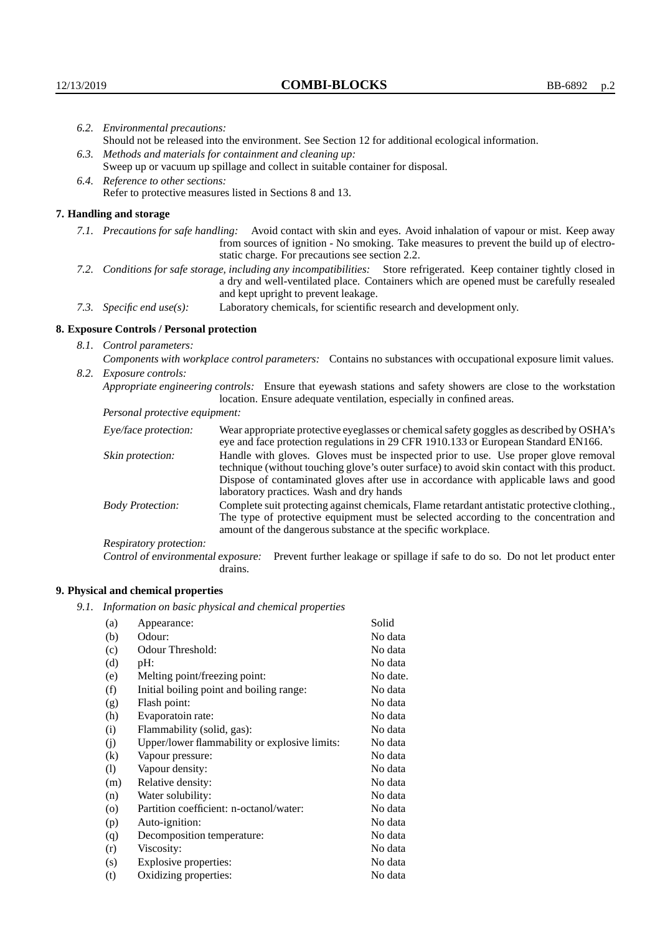| 6.2. Environmental precautions:                                                                                                                                                                                                                                    |                                                                                                                                                                                    |  |  |  |
|--------------------------------------------------------------------------------------------------------------------------------------------------------------------------------------------------------------------------------------------------------------------|------------------------------------------------------------------------------------------------------------------------------------------------------------------------------------|--|--|--|
| Should not be released into the environment. See Section 12 for additional ecological information.                                                                                                                                                                 |                                                                                                                                                                                    |  |  |  |
| 6.3. Methods and materials for containment and cleaning up:                                                                                                                                                                                                        |                                                                                                                                                                                    |  |  |  |
| Sweep up or vacuum up spillage and collect in suitable container for disposal.                                                                                                                                                                                     |                                                                                                                                                                                    |  |  |  |
| 6.4. Reference to other sections:                                                                                                                                                                                                                                  |                                                                                                                                                                                    |  |  |  |
|                                                                                                                                                                                                                                                                    | Refer to protective measures listed in Sections 8 and 13.                                                                                                                          |  |  |  |
| 7. Handling and storage                                                                                                                                                                                                                                            |                                                                                                                                                                                    |  |  |  |
| 7.1. Precautions for safe handling: Avoid contact with skin and eyes. Avoid inhalation of vapour or mist. Keep away<br>from sources of ignition - No smoking. Take measures to prevent the build up of electro-<br>static charge. For precautions see section 2.2. |                                                                                                                                                                                    |  |  |  |
| 7.2. Conditions for safe storage, including any incompatibilities: Store refrigerated. Keep container tightly closed in<br>a dry and well-ventilated place. Containers which are opened must be carefully resealed<br>and kept upright to prevent leakage.         |                                                                                                                                                                                    |  |  |  |
| 7.3. Specific end use(s):                                                                                                                                                                                                                                          | Laboratory chemicals, for scientific research and development only.                                                                                                                |  |  |  |
| 8. Exposure Controls / Personal protection                                                                                                                                                                                                                         |                                                                                                                                                                                    |  |  |  |
| 8.1. Control parameters:                                                                                                                                                                                                                                           |                                                                                                                                                                                    |  |  |  |
| Components with workplace control parameters: Contains no substances with occupational exposure limit values.                                                                                                                                                      |                                                                                                                                                                                    |  |  |  |
| 8.2. Exposure controls:                                                                                                                                                                                                                                            |                                                                                                                                                                                    |  |  |  |
| Appropriate engineering controls: Ensure that eyewash stations and safety showers are close to the workstation<br>location. Ensure adequate ventilation, especially in confined areas.                                                                             |                                                                                                                                                                                    |  |  |  |
| Personal protective equipment:                                                                                                                                                                                                                                     |                                                                                                                                                                                    |  |  |  |
| Eye/face protection:                                                                                                                                                                                                                                               | Wear appropriate protective eyeglasses or chemical safety goggles as described by OSHA's<br>eye and face protection regulations in 29 CFR 1910.133 or European Standard EN166.     |  |  |  |
| Skin protection:                                                                                                                                                                                                                                                   | Handle with gloves. Gloves must be inspected prior to use. Use proper glove removal<br>technique (without touching glove's outer surface) to avoid skin contact with this product. |  |  |  |

| Eye/face protection:               | Wear appropriate protective eyeglasses or chemical safety goggles as described by OSHA's<br>eye and face protection regulations in 29 CFR 1910.133 or European Standard EN166.                                                                                                                                         |  |  |
|------------------------------------|------------------------------------------------------------------------------------------------------------------------------------------------------------------------------------------------------------------------------------------------------------------------------------------------------------------------|--|--|
| Skin protection:                   | Handle with gloves. Gloves must be inspected prior to use. Use proper glove removal<br>technique (without touching glove's outer surface) to avoid skin contact with this product.<br>Dispose of contaminated gloves after use in accordance with applicable laws and good<br>laboratory practices. Wash and dry hands |  |  |
| <b>Body Protection:</b>            | Complete suit protecting against chemicals, Flame retardant antistatic protective clothing.,<br>The type of protective equipment must be selected according to the concentration and<br>amount of the dangerous substance at the specific workplace.                                                                   |  |  |
| Respiratory protection:            |                                                                                                                                                                                                                                                                                                                        |  |  |
| Control of environmental exposure: | Prevent further leakage or spillage if safe to do so. Do not let product enter<br>drains.                                                                                                                                                                                                                              |  |  |

# **9. Physical and chemical properties**

*9.1. Information on basic physical and chemical properties*

| (a)     | Appearance:                                   | Solid    |
|---------|-----------------------------------------------|----------|
| (b)     | Odour:                                        | No data  |
| (c)     | Odour Threshold:                              | No data  |
| (d)     | pH:                                           | No data  |
| (e)     | Melting point/freezing point:                 | No date. |
| (f)     | Initial boiling point and boiling range:      | No data  |
| (g)     | Flash point:                                  | No data  |
| (h)     | Evaporatoin rate:                             | No data  |
| (i)     | Flammability (solid, gas):                    | No data  |
| (j)     | Upper/lower flammability or explosive limits: | No data  |
| (k)     | Vapour pressure:                              | No data  |
| (1)     | Vapour density:                               | No data  |
| (m)     | Relative density:                             | No data  |
| (n)     | Water solubility:                             | No data  |
| $\circ$ | Partition coefficient: n-octanol/water:       | No data  |
| (p)     | Auto-ignition:                                | No data  |
| (q)     | Decomposition temperature:                    | No data  |
| (r)     | Viscosity:                                    | No data  |
| (s)     | Explosive properties:                         | No data  |
| (t)     | Oxidizing properties:                         | No data  |
|         |                                               |          |